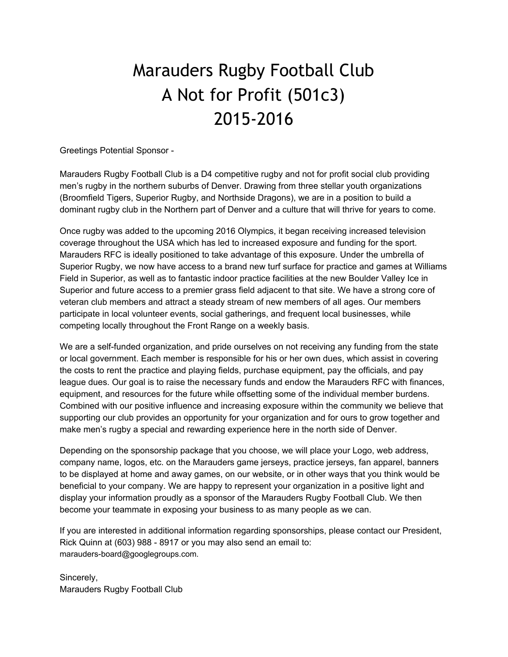## Marauders Rugby Football Club A Not for Profit (501c3) 2015‐2016

Greetings Potential Sponsor

Marauders Rugby Football Club is a D4 competitive rugby and not for profit social club providing men's rugby in the northern suburbs of Denver. Drawing from three stellar youth organizations (Broomfield Tigers, Superior Rugby, and Northside Dragons), we are in a position to build a dominant rugby club in the Northern part of Denver and a culture that will thrive for years to come.

Once rugby was added to the upcoming 2016 Olympics, it began receiving increased television coverage throughout the USA which has led to increased exposure and funding for the sport. Marauders RFC is ideally positioned to take advantage of this exposure. Under the umbrella of Superior Rugby, we now have access to a brand new turf surface for practice and games at Williams Field in Superior, as well as to fantastic indoor practice facilities at the new Boulder Valley Ice in Superior and future access to a premier grass field adjacent to that site. We have a strong core of veteran club members and attract a steady stream of new members of all ages. Our members participate in local volunteer events, social gatherings, and frequent local businesses, while competing locally throughout the Front Range on a weekly basis.

We are a self-funded organization, and pride ourselves on not receiving any funding from the state or local government. Each member is responsible for his or her own dues, which assist in covering the costs to rent the practice and playing fields, purchase equipment, pay the officials, and pay league dues. Our goal is to raise the necessary funds and endow the Marauders RFC with finances, equipment, and resources for the future while offsetting some of the individual member burdens. Combined with our positive influence and increasing exposure within the community we believe that supporting our club provides an opportunity for your organization and for ours to grow together and make men's rugby a special and rewarding experience here in the north side of Denver.

Depending on the sponsorship package that you choose, we will place your Logo, web address, company name, logos, etc. on the Marauders game jerseys, practice jerseys, fan apparel, banners to be displayed at home and away games, on our website, or in other ways that you think would be beneficial to your company. We are happy to represent your organization in a positive light and display your information proudly as a sponsor of the Marauders Rugby Football Club. We then become your teammate in exposing your business to as many people as we can.

If you are interested in additional information regarding sponsorships, please contact our President, Rick Quinn at (603) 988 - 8917 or you may also send an email to: marauders-board@googlegroups.com.

Sincerely, Marauders Rugby Football Club